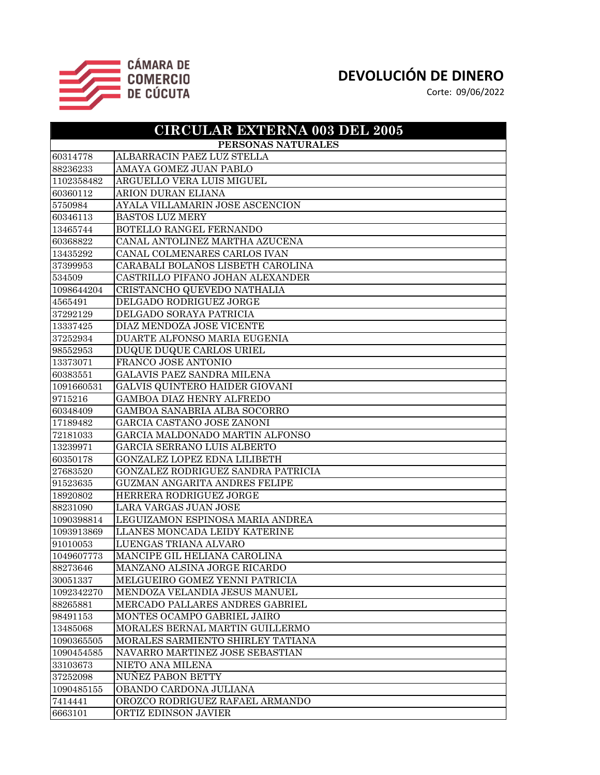

| <b>CIRCULAR EXTERNA 003 DEL 2005</b> |                                    |
|--------------------------------------|------------------------------------|
| PERSONAS NATURALES                   |                                    |
| 60314778                             | ALBARRACIN PAEZ LUZ STELLA         |
| 88236233                             | AMAYA GOMEZ JUAN PABLO             |
| 1102358482                           | ARGUELLO VERA LUIS MIGUEL          |
| 60360112                             | ARION DURAN ELIANA                 |
| 5750984                              | AYALA VILLAMARIN JOSE ASCENCION    |
| 60346113                             | <b>BASTOS LUZ MERY</b>             |
| 13465744                             | BOTELLO RANGEL FERNANDO            |
| 60368822                             | CANAL ANTOLINEZ MARTHA AZUCENA     |
| 13435292                             | CANAL COLMENARES CARLOS IVAN       |
| 37399953                             | CARABALI BOLAÑOS LISBETH CAROLINA  |
| 534509                               | CASTRILLO PIFANO JOHAN ALEXANDER   |
| 1098644204                           | CRISTANCHO QUEVEDO NATHALIA        |
| 4565491                              | DELGADO RODRIGUEZ JORGE            |
| 37292129                             | DELGADO SORAYA PATRICIA            |
| 13337425                             | DIAZ MENDOZA JOSE VICENTE          |
| 37252934                             | DUARTE ALFONSO MARIA EUGENIA       |
| 98552953                             | DUQUE DUQUE CARLOS URIEL           |
| 13373071                             | FRANCO JOSE ANTONIO                |
| 60383551                             | GALAVIS PAEZ SANDRA MILENA         |
| 1091660531                           | GALVIS QUINTERO HAIDER GIOVANI     |
| 9715216                              | GAMBOA DIAZ HENRY ALFREDO          |
| 60348409                             | GAMBOA SANABRIA ALBA SOCORRO       |
| 17189482                             | GARCIA CASTAÑO JOSE ZANONI         |
| 72181033                             | GARCIA MALDONADO MARTIN ALFONSO    |
| 13239971                             | GARCIA SERRANO LUIS ALBERTO        |
| 60350178                             | GONZALEZ LOPEZ EDNA LILIBETH       |
| 27683520                             | GONZALEZ RODRIGUEZ SANDRA PATRICIA |
| 91523635                             | GUZMAN ANGARITA ANDRES FELIPE      |
| 18920802                             | HERRERA RODRIGUEZ JORGE            |
| 88231090                             | LARA VARGAS JUAN JOSE              |
| 1090398814                           | LEGUIZAMON ESPINOSA MARIA ANDREA   |
| 1093913869                           | LLANES MONCADA LEIDY KATERINE      |
| 91010053                             | LUENGAS TRIANA ALVARO              |
| 1049607773                           | MANCIPE GIL HELIANA CAROLINA       |
| 88273646                             | MANZANO ALSINA JORGE RICARDO       |
| 30051337                             | MELGUEIRO GOMEZ YENNI PATRICIA     |
| 1092342270                           | MENDOZA VELANDIA JESUS MANUEL      |
| 88265881                             | MERCADO PALLARES ANDRES GABRIEL    |
| 98491153                             | MONTES OCAMPO GABRIEL JAIRO        |
| 13485068                             | MORALES BERNAL MARTIN GUILLERMO    |
| 1090365505                           | MORALES SARMIENTO SHIRLEY TATIANA  |
| 1090454585                           | NAVARRO MARTINEZ JOSE SEBASTIAN    |
| 33103673                             | NIETO ANA MILENA                   |
| 37252098                             | NUÑEZ PABON BETTY                  |
| 1090485155                           | OBANDO CARDONA JULIANA             |
| 7414441                              | OROZCO RODRIGUEZ RAFAEL ARMANDO    |
| 6663101                              | ORTIZ EDINSON JAVIER               |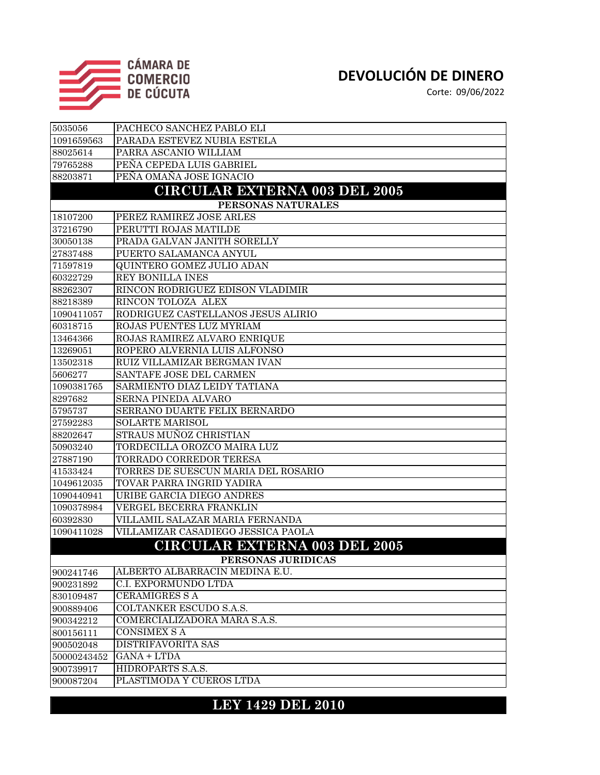

Corte: 09/06/2022

| 5035056     | PACHECO SANCHEZ PABLO ELI            |
|-------------|--------------------------------------|
| 1091659563  | PARADA ESTEVEZ NUBIA ESTELA          |
| 88025614    | PARRA ASCANIO WILLIAM                |
| 79765288    | PEÑA CEPEDA LUIS GABRIEL             |
| 88203871    | PEÑA OMAÑA JOSE IGNACIO              |
|             | <b>CIRCULAR EXTERNA 003 DEL 2005</b> |
|             | PERSONAS NATURALES                   |
| 18107200    | PEREZ RAMIREZ JOSE ARLES             |
| 37216790    | PERUTTI ROJAS MATILDE                |
| 30050138    | PRADA GALVAN JANITH SORELLY          |
| 27837488    | PUERTO SALAMANCA ANYUL               |
| 71597819    | QUINTERO GOMEZ JULIO ADAN            |
| 60322729    | REY BONILLA INES                     |
| 88262307    | RINCON RODRIGUEZ EDISON VLADIMIR     |
| 88218389    | RINCON TOLOZA ALEX                   |
| 1090411057  | RODRIGUEZ CASTELLANOS JESUS ALIRIO   |
| 60318715    | ROJAS PUENTES LUZ MYRIAM             |
| 13464366    | ROJAS RAMIREZ ALVARO ENRIQUE         |
| 13269051    | ROPERO ALVERNIA LUIS ALFONSO         |
| 13502318    | RUIZ VILLAMIZAR BERGMAN IVAN         |
| 5606277     | SANTAFE JOSE DEL CARMEN              |
| 1090381765  | SARMIENTO DIAZ LEIDY TATIANA         |
| 8297682     | SERNA PINEDA ALVARO                  |
| 5795737     | SERRANO DUARTE FELIX BERNARDO        |
| 27592283    | <b>SOLARTE MARISOL</b>               |
| 88202647    | STRAUS MUÑOZ CHRISTIAN               |
| 50903240    | TORDECILLA OROZCO MAIRA LUZ          |
| 27887190    | TORRADO CORREDOR TERESA              |
| 41533424    | TORRES DE SUESCUN MARIA DEL ROSARIO  |
| 1049612035  | TOVAR PARRA INGRID YADIRA            |
| 1090440941  | URIBE GARCIA DIEGO ANDRES            |
| 1090378984  | VERGEL BECERRA FRANKLIN              |
| 60392830    | VILLAMIL SALAZAR MARIA FERNANDA      |
| 1090411028  | VILLAMIZAR CASADIEGO JESSICA PAOLA   |
|             | <b>CIRCULAR EXTERNA 003 DEL 2005</b> |
|             | PERSONAS JURIDICAS                   |
| 900241746   | ALBERTO ALBARRACIN MEDINA E.U.       |
| 900231892   | C.I. EXPORMUNDO LTDA                 |
| 830109487   | <b>CERAMIGRES S A</b>                |
| 900889406   | <b>COLTANKER ESCUDO S.A.S.</b>       |
| 900342212   | COMERCIALIZADORA MARA S.A.S.         |
| 800156111   | <b>CONSIMEX SA</b>                   |
| 900502048   | <b>DISTRIFAVORITA SAS</b>            |
| 50000243452 | GANA + LTDA                          |
| 900739917   | HIDROPARTS S.A.S.                    |
| 900087204   | PLASTIMODA Y CUEROS LTDA             |

#### **LEY 1429 DEL 2010**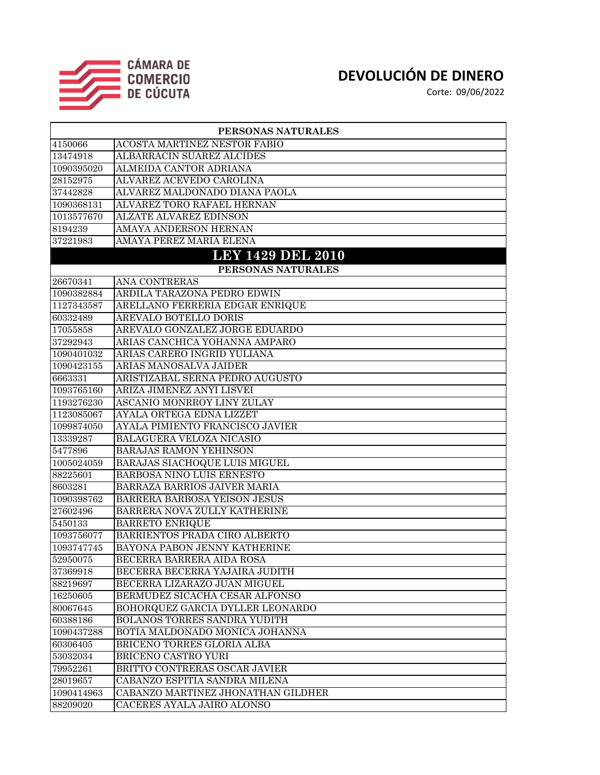

| PERSONAS NATURALES |                                     |
|--------------------|-------------------------------------|
| 4150066            | <b>ACOSTA MARTINEZ NESTOR FABIO</b> |
| 13474918           | ALBARRACIN SUAREZ ALCIDES           |
| 1090395020         | <b>ALMEIDA CANTOR ADRIANA</b>       |
| 28152975           | ALVAREZ ACEVEDO CAROLINA            |
| 37442828           | ALVAREZ MALDONADO DIANA PAOLA       |
| 1090368131         | ALVAREZ TORO RAFAEL HERNAN          |
| 1013577670         | <b>ALZATE ALVAREZ EDINSON</b>       |
| 8194239            | <b>AMAYA ANDERSON HERNAN</b>        |
| 37221983           | AMAYA PEREZ MARIA ELENA             |
|                    | <b>LEY 1429 DEL 2010</b>            |
|                    | PERSONAS NATURALES                  |
| 26670341           | ANA CONTRERAS                       |
| 1090382884         | ARDILA TARAZONA PEDRO EDWIN         |
| 1127343587         | ARELLANO FERRERIA EDGAR ENRIQUE     |
| 60332489           | <b>AREVALO BOTELLO DORIS</b>        |
| 17055858           | AREVALO GONZALEZ JORGE EDUARDO      |
| 37292943           | ARIAS CANCHICA YOHANNA AMPARO       |
| 1090401032         | ARIAS CARERO INGRID YULIANA         |
| 1090423155         | ARIAS MANOSALVA JAIDER              |
| 6663331            | ARISTIZABAL SERNA PEDRO AUGUSTO     |
| 1093765160         | ARIZA JIMENEZ ANYI LISVEI           |
| 1193276230         | ASCANIO MONRROY LINY ZULAY          |
| 1123085067         | AYALA ORTEGA EDNA LIZZET            |
| 1099874050         | AYALA PIMIENTO FRANCISCO JAVIER     |
| 13339287           | <b>BALAGUERA VELOZA NICASIO</b>     |
| 5477896            | <b>BARAJAS RAMON YEHINSON</b>       |
| 1005024059         | BARAJAS SIACHOQUE LUIS MIGUEL       |
| 88225601           | BARBOSA NIÑO LUIS ERNESTO           |
| 8603281            | BARRAZA BARRIOS JAIVER MARIA        |
| 1090398762         | BARRERA BARBOSA YEISON JESUS        |
| 27602496           | BARRERA NOVA ZULLY KATHERINE        |
| 5450133            | <b>BARRETO ENRIQUE</b>              |
| 1093756077         | BARRIENTOS PRADA CIRO ALBERTO       |
| 1093747745         | BAYONA PABON JENNY KATHERINE        |
| 52950075           | BECERRA BARRERA AIDA ROSA           |
| 37369918           | BECERRA BECERRA YAJAIRA JUDITH      |
| 88219697           | BECERRA LIZARAZO JUAN MIGUEL        |
| 16250605           | BERMUDEZ SICACHA CESAR ALFONSO      |
| 80067645           | BOHORQUEZ GARCIA DYLLER LEONARDO    |
| 60388186           | <b>BOLAÑOS TORRES SANDRA YUDITH</b> |
| 1090437288         | BOTIA MALDONADO MONICA JOHANNA      |
| 60306405           | BRICEÑO TORRES GLORIA ALBA          |
| 53032034           | BRICEÑO CASTRO YURI                 |
| 79952261           | BRITTO CONTRERAS OSCAR JAVIER       |
| 28019657           | CABANZO ESPITIA SANDRA MILENA       |
| 1090414963         | CABANZO MARTINEZ JHONATHAN GILDHER  |
| 88209020           | CACERES AYALA JAIRO ALONSO          |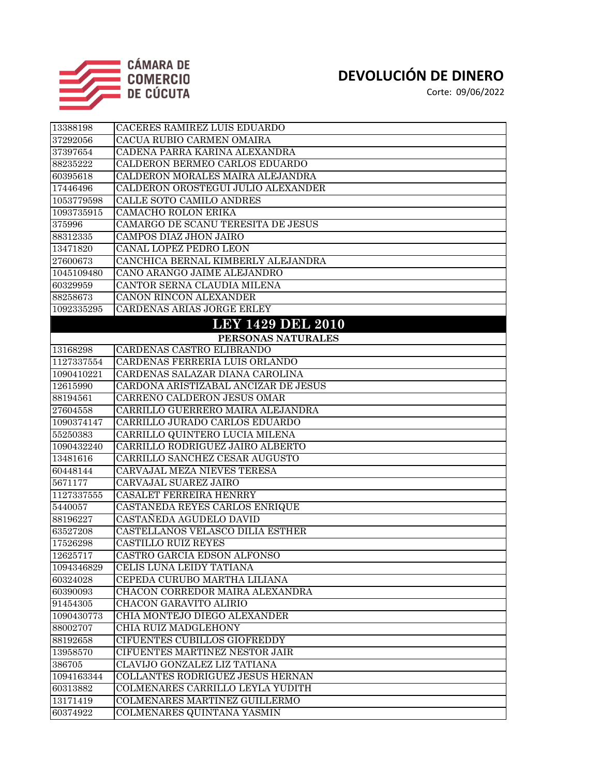

| 13388198   | CACERES RAMIREZ LUIS EDUARDO         |
|------------|--------------------------------------|
| 37292056   | CACUA RUBIO CARMEN OMAIRA            |
| 37397654   | CADENA PARRA KARINA ALEXANDRA        |
| 88235222   | CALDERON BERMEO CARLOS EDUARDO       |
| 60395618   | CALDERON MORALES MAIRA ALEJANDRA     |
| 17446496   | CALDERON OROSTEGUI JULIO ALEXANDER   |
| 1053779598 | CALLE SOTO CAMILO ANDRES             |
| 1093735915 | <b>CAMACHO ROLON ERIKA</b>           |
| 375996     | CAMARGO DE SCANU TERESITA DE JESUS   |
| 88312335   | <b>CAMPOS DIAZ JHON JAIRO</b>        |
| 13471820   | CANAL LOPEZ PEDRO LEON               |
| 27600673   | CANCHICA BERNAL KIMBERLY ALEJANDRA   |
| 1045109480 | CANO ARANGO JAIME ALEJANDRO          |
| 60329959   | CANTOR SERNA CLAUDIA MILENA          |
| 88258673   | CAÑON RINCON ALEXANDER               |
| 1092335295 | CARDENAS ARIAS JORGE ERLEY           |
|            | <b>LEY 1429 DEL 2010</b>             |
|            | PERSONAS NATURALES                   |
| 13168298   | CARDENAS CASTRO ELIBRANDO            |
| 1127337554 | CARDENAS FERRERIA LUIS ORLANDO       |
| 1090410221 | CARDENAS SALAZAR DIANA CAROLINA      |
| 12615990   | CARDONA ARISTIZABAL ANCIZAR DE JESUS |
| 88194561   | CARREÑO CALDERON JESUS OMAR          |
| 27604558   | CARRILLO GUERRERO MAIRA ALEJANDRA    |
| 1090374147 | CARRILLO JURADO CARLOS EDUARDO       |
| 55250383   | CARRILLO QUINTERO LUCIA MILENA       |
| 1090432240 | CARRILLO RODRIGUEZ JAIRO ALBERTO     |
| 13481616   | CARRILLO SANCHEZ CESAR AUGUSTO       |
| 60448144   | CARVAJAL MEZA NIEVES TERESA          |
| 5671177    | <b>CARVAJAL SUAREZ JAIRO</b>         |
| 1127337555 | CASALET FERREIRA HENRRY              |
| 5440057    | CASTAÑEDA REYES CARLOS ENRIQUE       |
| 88196227   | CASTAÑEDA AGUDELO DAVID              |
| 63527208   | CASTELLANOS VELASCO DILIA ESTHER     |
| 17526298   | <b>CASTILLO RUIZ REYES</b>           |
| 12625717   | CASTRO GARCIA EDSON ALFONSO          |
| 1094346829 | CELIS LUNA LEIDY TATIANA             |
| 60324028   | CEPEDA CURUBO MARTHA LILIANA         |
| 60390093   | CHACON CORREDOR MAIRA ALEXANDRA      |
| 91454305   | CHACON GARAVITO ALIRIO               |
| 1090430773 | CHIA MONTEJO DIEGO ALEXANDER         |
| 88002707   | CHIA RUIZ MADGLEHONY                 |
| 88192658   | <b>CIFUENTES CUBILLOS GIOFREDDY</b>  |
| 13958570   | CIFUENTES MARTINEZ NESTOR JAIR       |
| 386705     | CLAVIJO GONZALEZ LIZ TATIANA         |
| 1094163344 | COLLANTES RODRIGUEZ JESUS HERNAN     |
| 60313882   | COLMENARES CARRILLO LEYLA YUDITH     |
| 13171419   | COLMENARES MARTINEZ GUILLERMO        |
| 60374922   | COLMENARES QUINTANA YASMIN           |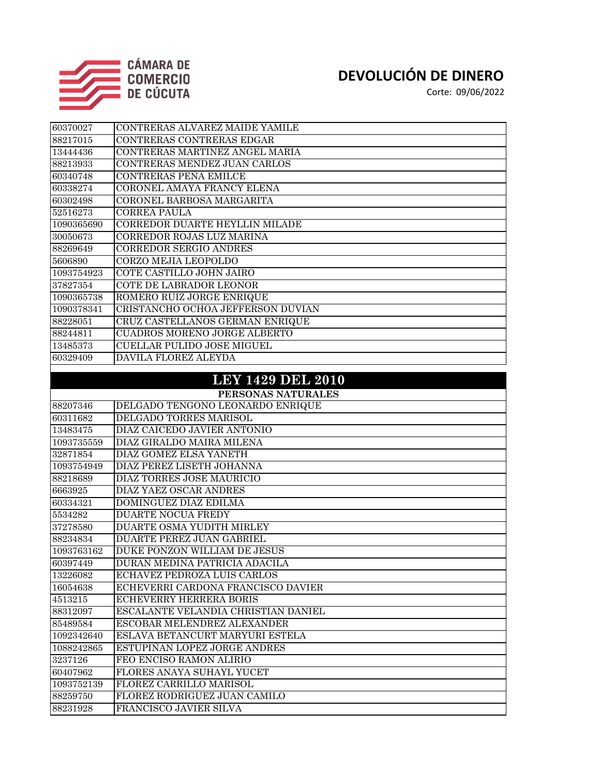

| 60370027   | CONTRERAS ALVAREZ MAIDE YAMILE      |
|------------|-------------------------------------|
| 88217015   | CONTRERAS CONTRERAS EDGAR           |
| 13444436   | CONTRERAS MARTINEZ ANGEL MARIA      |
| 88213933   | CONTRERAS MENDEZ JUAN CARLOS        |
| 60340748   | CONTRERAS PEÑA EMILCE               |
| 60338274   | CORONEL AMAYA FRANCY ELENA          |
| 60302498   | CORONEL BARBOSA MARGARITA           |
| 52516273   | <b>CORREA PAULA</b>                 |
| 1090365690 | CORREDOR DUARTE HEYLLIN MILADE      |
| 30050673   | CORREDOR ROJAS LUZ MARINA           |
| 88269649   | CORREDOR SERGIO ANDRES              |
| 5606890    | CORZO MEJIA LEOPOLDO                |
| 1093754923 | COTE CASTILLO JOHN JAIRO            |
| 37827354   | COTE DE LABRADOR LEONOR             |
| 1090365738 | ROMERO RUIZ JORGE ENRIQUE           |
| 1090378341 | CRISTANCHO OCHOA JEFFERSON DUVIAN   |
| 88228051   | CRUZ CASTELLANOS GERMAN ENRIQUE     |
| 88244811   | <b>CUADROS MORENO JORGE ALBERTO</b> |
| 13485373   | <b>CUELLAR PULIDO JOSE MIGUEL</b>   |
| 60329409   | <b>DAVILA FLOREZ ALEYDA</b>         |
|            |                                     |
|            | <b>LEY 1429 DEL 2010</b>            |
|            | PERSONAS NATURALES                  |
| 88207346   | DELGADO TENGONO LEONARDO ENRIQUE    |
| 60311682   | DELGADO TORRES MARISOL              |
| 13483475   | <b>DIAZ CAICEDO JAVIER ANTONIO</b>  |
| 1093735559 | DIAZ GIRALDO MAIRA MILENA           |
| 32871854   | DIAZ GOMEZ ELSA YANETH              |
| 1093754949 | DIAZ PEREZ LISETH JOHANNA           |
| 88218689   | DIAZ TORRES JOSE MAURICIO           |
| 6663925    | DIAZ YAEZ OSCAR ANDRES              |
| 60334321   | DOMINGUEZ DIAZ EDILMA               |
| 5534282    | <b>DUARTE NOCUA FREDY</b>           |
| 37278580   | DUARTE OSMA YUDITH MIRLEY           |
| 88234834   | <b>DUARTE PEREZ JUAN GABRIEL</b>    |
| 1093763162 | DUKE PONZON WILLIAM DE JESUS        |
| 60397449   | DURAN MEDINA PATRICIA ADACILA       |
| 13226082   | ECHAVEZ PEDROZA LUIS CARLOS         |
| 16054638   | ECHEVERRI CARDONA FRANCISCO DAVIER  |
| 4513215    | <b>ECHEVERRY HERRERA BORIS</b>      |
| 88312097   | ESCALANTE VELANDIA CHRISTIAN DANIEL |
| 85489584   | ESCOBAR MELENDREZ ALEXANDER         |
| 1092342640 | ESLAVA BETANCURT MARYURI ESTELA     |
| 1088242865 | ESTUPIÑAN LOPEZ JORGE ANDRES        |
| 3237126    | FEO ENCISO RAMON ALIRIO             |
| 60407962   | FLORES ANAYA SUHAYL YUCET           |
| 1093752139 | FLOREZ CARRILLO MARISOL             |
| 88259750   | FLOREZ RODRIGUEZ JUAN CAMILO        |
| 88231928   | FRANCISCO JAVIER SILVA              |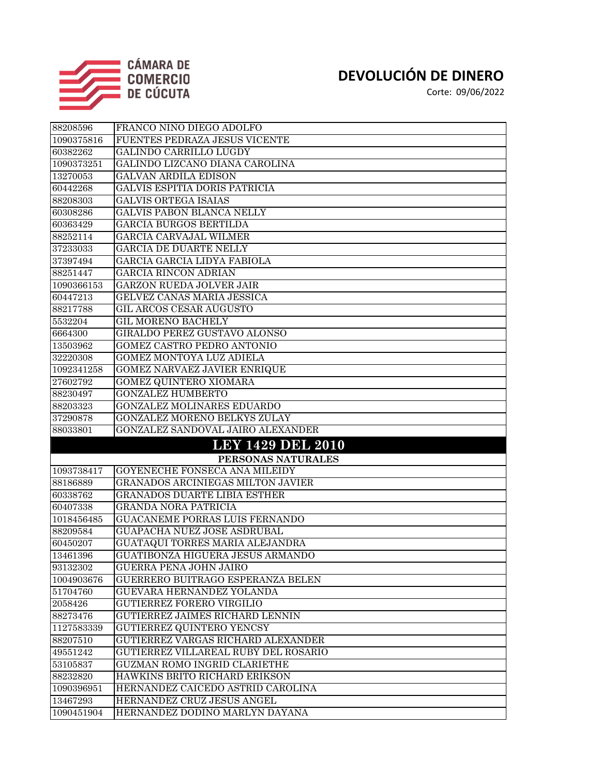

| 88208596   | FRANCO NIÑO DIEGO ADOLFO                                     |
|------------|--------------------------------------------------------------|
| 1090375816 | FUENTES PEDRAZA JESUS VICENTE                                |
| 60382262   | <b>GALINDO CARRILLO LUGDY</b>                                |
| 1090373251 | GALINDO LIZCANO DIANA CAROLINA                               |
| 13270053   | <b>GALVAN ARDILA EDISON</b>                                  |
| 60442268   | <b>GALVIS ESPITIA DORIS PATRICIA</b>                         |
| 88208303   | GALVIS ORTEGA ISAIAS                                         |
| 60308286   | <b>GALVIS PABON BLANCA NELLY</b>                             |
| 60363429   | <b>GARCIA BURGOS BERTILDA</b>                                |
| 88252114   | GARCIA CARVAJAL WILMER                                       |
| 37233033   | <b>GARCIA DE DUARTE NELLY</b>                                |
| 37397494   | GARCIA GARCIA LIDYA FABIOLA                                  |
| 88251447   | <b>GARCIA RINCON ADRIAN</b>                                  |
| 1090366153 | <b>GARZON RUEDA JOLVER JAIR</b>                              |
| 60447213   | GELVEZ CANAS MARIA JESSICA                                   |
| 88217788   | <b>GIL ARCOS CESAR AUGUSTO</b>                               |
| 5532204    | <b>GIL MORENO BACHELY</b>                                    |
| 6664300    | GIRALDO PEREZ GUSTAVO ALONSO                                 |
| 13503962   | <b>GOMEZ CASTRO PEDRO ANTONIO</b>                            |
| 32220308   | GOMEZ MONTOYA LUZ ADIELA                                     |
| 1092341258 | <b>GOMEZ NARVAEZ JAVIER ENRIQUE</b>                          |
| 27602792   | GOMEZ QUINTERO XIOMARA                                       |
| 88230497   | <b>GONZALEZ HUMBERTO</b>                                     |
| 88203323   | <b>GONZALEZ MOLINARES EDUARDO</b>                            |
| 37290878   | <b>GONZALEZ MORENO BELKYS ZULAY</b>                          |
| 88033801   | GONZALEZ SANDOVAL JAIRO ALEXANDER                            |
|            | <b>LEY 1429 DEL 2010</b>                                     |
|            | PERSONAS NATURALES                                           |
| 1093738417 | GOYENECHE FONSECA ANA MILEIDY                                |
| 88186889   | <b>GRANADOS ARCINIEGAS MILTON JAVIER</b>                     |
| 60338762   | GRANADOS DUARTE LIBIA ESTHER                                 |
| 60407338   | <b>GRANDA NORA PATRICIA</b>                                  |
| 1018456485 | <b>GUACANEME PORRAS LUIS FERNANDO</b>                        |
| 88209584   | GUAPACHA NUEZ JOSE ASDRUBAL                                  |
| 60450207   | <b>GUATAQUI TORRES MARIA ALEJANDRA</b>                       |
| 13461396   | GUATIBONZA HIGUERA JESUS ARMANDO                             |
| 93132302   | <b>GUERRA PEÑA JOHN JAIRO</b>                                |
| 1004903676 | GUERRERO BUITRAGO ESPERANZA BELEN                            |
| 51704760   | <b>GUEVARA HERNANDEZ YOLANDA</b>                             |
| 2058426    | <b>GUTIERREZ FORERO VIRGILIO</b>                             |
| 88273476   | <b>GUTIERREZ JAIMES RICHARD LENNIN</b>                       |
| 1127583339 | <b>GUTIERREZ QUINTERO YENCSY</b>                             |
| 88207510   | GUTIERREZ VARGAS RICHARD ALEXANDER                           |
| 49551242   | GUTIERREZ VILLAREAL RUBY DEL ROSARIO                         |
| 53105837   | GUZMAN ROMO INGRID CLARIETHE                                 |
| 88232820   | HAWKINS BRITO RICHARD ERIKSON                                |
| 1090396951 |                                                              |
|            | HERNANDEZ CAICEDO ASTRID CAROLINA                            |
| 13467293   | HERNANDEZ CRUZ JESUS ANGEL<br>HERNANDEZ DODINO MARLYN DAYANA |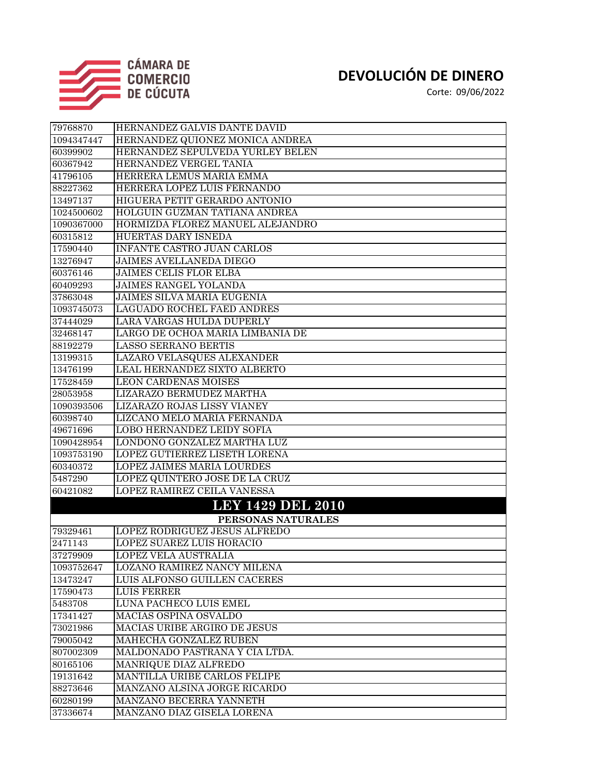

| 79768870            | HERNANDEZ GALVIS DANTE DAVID                       |
|---------------------|----------------------------------------------------|
| 1094347447          | HERNANDEZ QUIONEZ MONICA ANDREA                    |
| 60399902            | HERNANDEZ SEPULVEDA YURLEY BELEN                   |
| 60367942            | HERNANDEZ VERGEL TANIA                             |
| 41796105            | HERRERA LEMUS MARIA EMMA                           |
| 88227362            | HERRERA LOPEZ LUIS FERNANDO                        |
| 13497137            | HIGUERA PETIT GERARDO ANTONIO                      |
| 1024500602          | HOLGUIN GUZMAN TATIANA ANDREA                      |
| 1090367000          | HORMIZDA FLOREZ MANUEL ALEJANDRO                   |
| 60315812            | <b>HUERTAS DARY ISNEDA</b>                         |
| 17590440            | <b>INFANTE CASTRO JUAN CARLOS</b>                  |
| 13276947            | <b>JAIMES AVELLANEDA DIEGO</b>                     |
| 60376146            | <b>JAIMES CELIS FLOR ELBA</b>                      |
| 60409293            | <b>JAIMES RANGEL YOLANDA</b>                       |
| 37863048            | JAIMES SILVA MARIA EUGENIA                         |
| 1093745073          | LAGUADO ROCHEL FAED ANDRES                         |
| 37444029            | LARA VARGAS HULDA DUPERLY                          |
| 32468147            | LARGO DE OCHOA MARIA LIMBANIA DE                   |
| 88192279            | <b>LASSO SERRANO BERTIS</b>                        |
| 13199315            | LAZARO VELASQUES ALEXANDER                         |
| 13476199            | LEAL HERNANDEZ SIXTO ALBERTO                       |
| 17528459            | <b>LEON CARDENAS MOISES</b>                        |
| 28053958            | LIZARAZO BERMUDEZ MARTHA                           |
| 1090393506          | LIZARAZO ROJAS LISSY VIANEY                        |
| 60398740            | LIZCANO MELO MARIA FERNANDA                        |
| 49671696            | <b>LOBO HERNANDEZ LEIDY SOFIA</b>                  |
| 1090428954          | LONDOÑO GONZALEZ MARTHA LUZ                        |
| 1093753190          | <b>LOPEZ GUTIERREZ LISETH LORENA</b>               |
| 60340372            | <b>LOPEZ JAIMES MARIA LOURDES</b>                  |
| 5487290             | LOPEZ QUINTERO JOSE DE LA CRUZ                     |
| 60421082            | LOPEZ RAMIREZ CEILA VANESSA                        |
|                     | <b>LEY 1429 DEL 2010</b>                           |
|                     | PERSONAS NATURALES                                 |
| 79329461            | LOPEZ RODRIGUEZ JESUS ALFREDO                      |
| 2471143             | <b>LOPEZ SUAREZ LUIS HORACIO</b>                   |
| 37279909            | LOPEZ VELA AUSTRALIA                               |
| 1093752647          | <b>LOZANO RAMIREZ NANCY MILENA</b>                 |
| 13473247            | LUIS ALFONSO GUILLEN CACERES<br><b>LUIS FERRER</b> |
| 17590473<br>5483708 | LUNA PACHECO LUIS EMEL                             |
| 17341427            | <b>MACIAS OSPINA OSVALDO</b>                       |
| 73021986            | MACIAS URIBE ARGIRO DE JESUS                       |
| 79005042            | MAHECHA GONZALEZ RUBEN                             |
| 807002309           | MALDONADO PASTRANA Y CIA LTDA.                     |
| 80165106            | MANRIQUE DIAZ ALFREDO                              |
| 19131642            | MANTILLA URIBE CARLOS FELIPE                       |
| 88273646            | MANZANO ALSINA JORGE RICARDO                       |
| 60280199            | MANZANO BECERRA YANNETH                            |
| 37336674            | MANZANO DIAZ GISELA LORENA                         |
|                     |                                                    |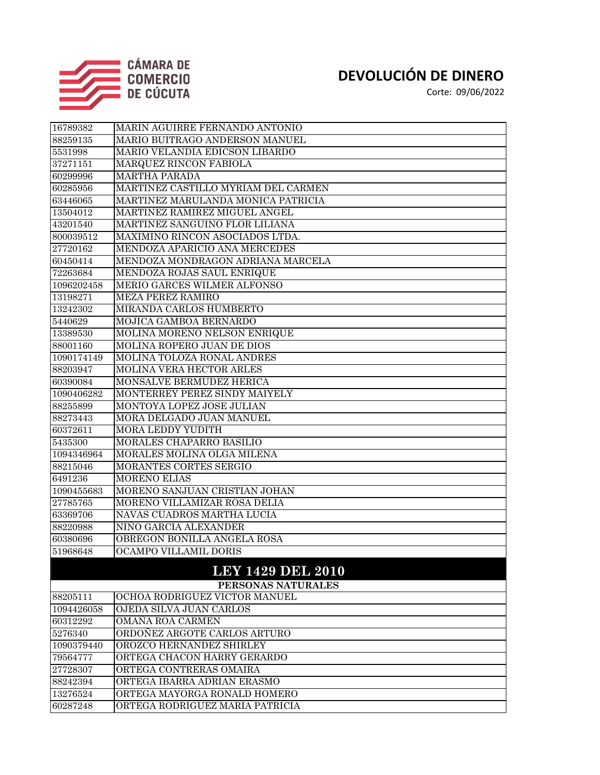

| 16789382           | MARIN AGUIRRE FERNANDO ANTONIO      |  |
|--------------------|-------------------------------------|--|
| 88259135           | MARIO BUITRAGO ANDERSON MANUEL      |  |
| 5531998            | MARIO VELANDIA EDICSON LIBARDO      |  |
| 37271151           | MARQUEZ RINCON FABIOLA              |  |
| 60299996           | <b>MARTHA PARADA</b>                |  |
| 60285956           | MARTINEZ CASTILLO MYRIAM DEL CARMEN |  |
| 63446065           | MARTINEZ MARULANDA MONICA PATRICIA  |  |
| 13504012           | MARTINEZ RAMIREZ MIGUEL ANGEL       |  |
| 43201540           | MARTINEZ SANGUINO FLOR LILIANA      |  |
| 800039512          | MAXIMINO RINCON ASOCIADOS LTDA.     |  |
| 27720162           | MENDOZA APARICIO ANA MERCEDES       |  |
| 60450414           | MENDOZA MONDRAGON ADRIANA MARCELA   |  |
| 72263684           | MENDOZA ROJAS SAUL ENRIQUE          |  |
| 1096202458         | MERIO GARCES WILMER ALFONSO         |  |
| 13198271           | MEZA PEREZ RAMIRO                   |  |
| 13242302           | MIRANDA CARLOS HUMBERTO             |  |
| 5440629            | MOJICA GAMBOA BERNARDO              |  |
| 13389530           | MOLINA MORENO NELSON ENRIQUE        |  |
| 88001160           | MOLINA ROPERO JUAN DE DIOS          |  |
| 1090174149         | MOLINA TOLOZA RONAL ANDRES          |  |
| 88203947           | <b>MOLINA VERA HECTOR ARLES</b>     |  |
| 60390084           | <b>MONSALVE BERMUDEZ HERICA</b>     |  |
| 1090406282         | MONTERREY PEREZ SINDY MAIYELY       |  |
| 88255899           | MONTOYA LOPEZ JOSE JULIAN           |  |
| 88273443           | <b>MORA DELGADO JUAN MANUEL</b>     |  |
| 60372611           | <b>MORA LEDDY YUDITH</b>            |  |
| 5435300            | <b>MORALES CHAPARRO BASILIO</b>     |  |
| 1094346964         | MORALES MOLINA OLGA MILENA          |  |
| 88215046           | <b>MORANTES CORTES SERGIO</b>       |  |
| 6491236            | <b>MORENO ELIAS</b>                 |  |
| 1090455683         | MORENO SANJUAN CRISTIAN JOHAN       |  |
| 27785765           | MORENO VILLAMIZAR ROSA DELIA        |  |
| 63369706           | NAVAS CUADROS MARTHA LUCIA          |  |
| 88220988           | NIÑO GARCIA ALEXANDER               |  |
| 60380696           | OBREGON BONILLA ANGELA ROSA         |  |
| 51968648           | OCAMPO VILLAMIL DORIS               |  |
|                    | <b>LEY 1429 DEL 2010</b>            |  |
| PERSONAS NATURALES |                                     |  |
| 88205111           | OCHOA RODRIGUEZ VICTOR MANUEL       |  |
| 1094426058         | OJEDA SILVA JUAN CARLOS             |  |
| 60312292           | OMAÑA ROA CARMEN                    |  |
| 5276340            | ORDOÑEZ ARGOTE CARLOS ARTURO        |  |
| 1090379440         | OROZCO HERNANDEZ SHIRLEY            |  |
| 79564777           | ORTEGA CHACON HARRY GERARDO         |  |
| 27728307           | ORTEGA CONTRERAS OMAIRA             |  |
| 88242394           | ORTEGA IBARRA ADRIAN ERASMO         |  |
| 13276524           | ORTEGA MAYORGA RONALD HOMERO        |  |
| 60287248           | ORTEGA RODRIGUEZ MARIA PATRICIA     |  |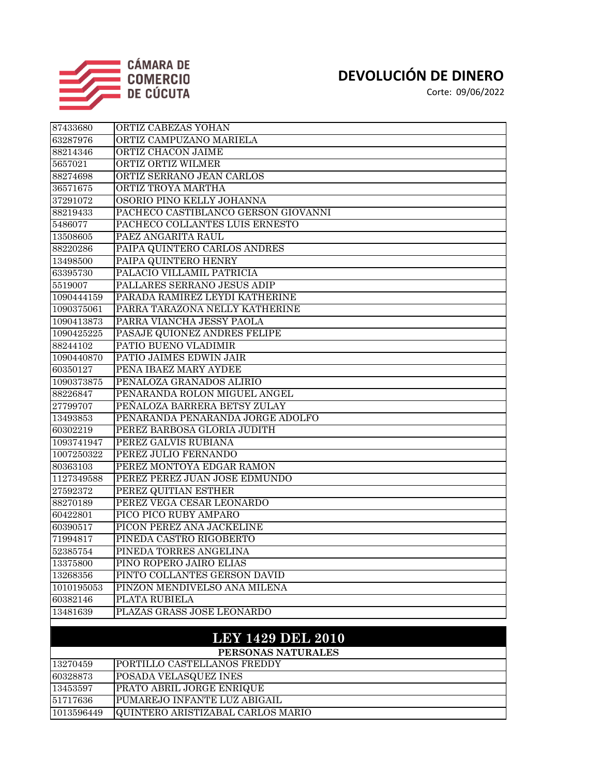

 PUMAREJO INFANTE LUZ ABIGAIL QUINTERO ARISTIZABAL CARLOS MARIO

#### **DEVOLUCIÓN DE DINERO**

| 87433680   | ORTIZ CABEZAS YOHAN                 |
|------------|-------------------------------------|
| 63287976   | ORTIZ CAMPUZANO MARIELA             |
| 88214346   | ORTIZ CHACON JAIME                  |
| 5657021    | ORTIZ ORTIZ WILMER                  |
| 88274698   | ORTIZ SERRANO JEAN CARLOS           |
| 36571675   | ORTIZ TROYA MARTHA                  |
| 37291072   | OSORIO PINO KELLY JOHANNA           |
| 88219433   | PACHECO CASTIBLANCO GERSON GIOVANNI |
| 5486077    | PACHECO COLLANTES LUIS ERNESTO      |
| 13508605   | PAEZ ANGARITA RAUL                  |
| 88220286   | PAIPA QUINTERO CARLOS ANDRES        |
| 13498500   | PAIPA QUINTERO HENRY                |
| 63395730   | PALACIO VILLAMIL PATRICIA           |
| 5519007    | PALLARES SERRANO JESUS ADIP         |
| 1090444159 | PARADA RAMIREZ LEYDI KATHERINE      |
| 1090375061 | PARRA TARAZONA NELLY KATHERINE      |
| 1090413873 | PARRA VIANCHA JESSY PAOLA           |
| 1090425225 | PASAJE QUIONEZ ANDRES FELIPE        |
| 88244102   | PATIO BUENO VLADIMIR                |
| 1090440870 | PATIO JAIMES EDWIN JAIR             |
| 60350127   | PEÑA IBAEZ MARY AYDEE               |
| 1090373875 | PEÑALOZA GRANADOS ALIRIO            |
| 88226847   | PEÑARANDA ROLON MIGUEL ANGEL        |
| 27799707   | PEÑALOZA BARRERA BETSY ZULAY        |
| 13493853   | PEÑARANDA PENARANDA JORGE ADOLFO    |
| 60302219   | PEREZ BARBOSA GLORIA JUDITH         |
| 1093741947 | PEREZ GALVIS RUBIANA                |
| 1007250322 | PEREZ JULIO FERNANDO                |
| 80363103   | PEREZ MONTOYA EDGAR RAMON           |
| 1127349588 | PEREZ PEREZ JUAN JOSE EDMUNDO       |
| 27592372   | PEREZ QUITIAN ESTHER                |
| 88270189   | PEREZ VEGA CESAR LEONARDO           |
| 60422801   | PICO PICO RUBY AMPARO               |
| 60390517   | PICON PEREZ ANA JACKELINE           |
| 71994817   | PINEDA CASTRO RIGOBERTO             |
| 52385754   | PINEDA TORRES ANGELINA              |
| 13375800   | PINO ROPERO JAIRO ELIAS             |
| 13268356   | PINTO COLLANTES GERSON DAVID        |
| 1010195053 | PINZON MENDIVELSO ANA MILENA        |
| 60382146   | PLATA RUBIELA                       |
| 13481639   | PLAZAS GRASS JOSE LEONARDO          |
|            | <b>LEY 1429 DEL 2010</b>            |
|            | PERSONAS NATURALES                  |
| 13270459   | PORTILLO CASTELLANOS FREDDY         |
| 60328873   | POSADA VELASQUEZ INES               |
| 13453597   | PRATO ABRIL JORGE ENRIQUE           |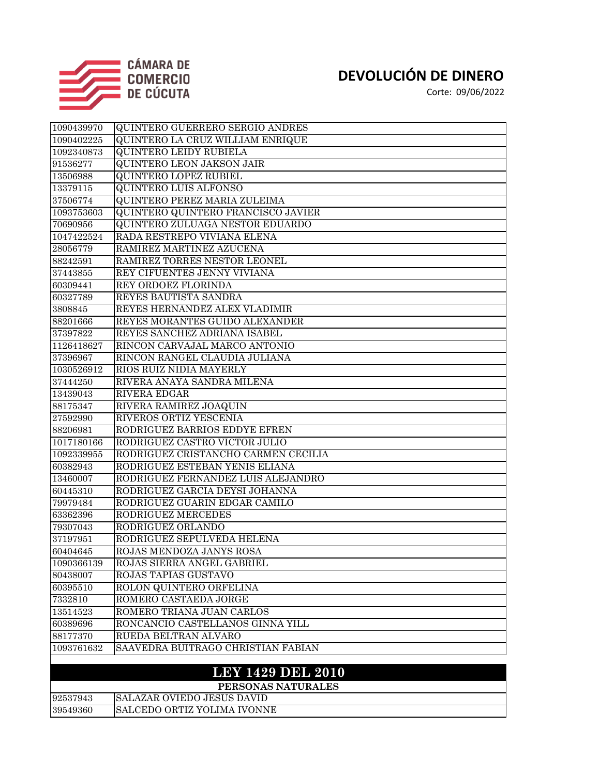

Corte: 09/06/2022

| 1090439970 | <b>QUINTERO GUERRERO SERGIO ANDRES</b>    |
|------------|-------------------------------------------|
| 1090402225 | QUINTERO LA CRUZ WILLIAM ENRIQUE          |
| 1092340873 | <b>QUINTERO LEIDY RUBIELA</b>             |
| 91536277   | <b>QUINTERO LEON JAKSON JAIR</b>          |
| 13506988   | <b>QUINTERO LOPEZ RUBIEL</b>              |
| 13379115   | <b>QUINTERO LUIS ALFONSO</b>              |
| 37506774   | QUINTERO PEREZ MARIA ZULEIMA              |
| 1093753603 | <b>QUINTERO QUINTERO FRANCISCO JAVIER</b> |
| 70690956   | <b>QUINTERO ZULUAGA NESTOR EDUARDO</b>    |
| 1047422524 | RADA RESTREPO VIVIANA ELENA               |
| 28056779   | RAMIREZ MARTINEZ AZUCENA                  |
| 88242591   | RAMIREZ TORRES NESTOR LEONEL              |
| 37443855   | REY CIFUENTES JENNY VIVIANA               |
| 60309441   | REY ORDOEZ FLORINDA                       |
| 60327789   | REYES BAUTISTA SANDRA                     |
| 3808845    | REYES HERNANDEZ ALEX VLADIMIR             |
| 88201666   | REYES MORANTES GUIDO ALEXANDER            |
| 37397822   | REYES SANCHEZ ADRIANA ISABEL              |
| 1126418627 | RINCON CARVAJAL MARCO ANTONIO             |
| 37396967   | RINCON RANGEL CLAUDIA JULIANA             |
| 1030526912 | RIOS RUIZ NIDIA MAYERLY                   |
| 37444250   | RIVERA ANAYA SANDRA MILENA                |
| 13439043   | <b>RIVERA EDGAR</b>                       |
| 88175347   | RIVERA RAMIREZ JOAQUIN                    |
| 27592990   | RIVEROS ORTIZ YESCENIA                    |
| 88206981   | RODRIGUEZ BARRIOS EDDYE EFREN             |
| 1017180166 | RODRIGUEZ CASTRO VICTOR JULIO             |
| 1092339955 | RODRIGUEZ CRISTANCHO CARMEN CECILIA       |
| 60382943   | RODRIGUEZ ESTEBAN YENIS ELIANA            |
| 13460007   | RODRIGUEZ FERNANDEZ LUIS ALEJANDRO        |
| 60445310   | RODRIGUEZ GARCIA DEYSI JOHANNA            |
| 79979484   | RODRIGUEZ GUARIN EDGAR CAMILO             |
| 63362396   | RODRIGUEZ MERCEDES                        |
| 79307043   | RODRIGUEZ ORLANDO                         |
| 37197951   | RODRIGUEZ SEPULVEDA HELENA                |
| 60404645   | ROJAS MENDOZA JANYS ROSA                  |
| 1090366139 | ROJAS SIERRA ANGEL GABRIEL                |
| 80438007   | ROJAS TAPIAS GUSTAVO                      |
| 60395510   | ROLON QUINTERO ORFELINA                   |
| 7332810    | ROMERO CASTAEDA JORGE                     |
| 13514523   | ROMERO TRIANA JUAN CARLOS                 |
| 60389696   | RONCANCIO CASTELLANOS GINNA YILL          |
| 88177370   | RUEDA BELTRAN ALVARO                      |
| 1093761632 | SAAVEDRA BUITRAGO CHRISTIAN FABIAN        |
|            |                                           |

#### **LEY 1429 DEL 2010**

|          | PERSONAS NATURALES                  |
|----------|-------------------------------------|
| 92537943 | <b>ISALAZAR OVIEDO JESUS DAVID</b>  |
| 39549360 | <b>ISALCEDO ORTIZ YOLIMA IVONNE</b> |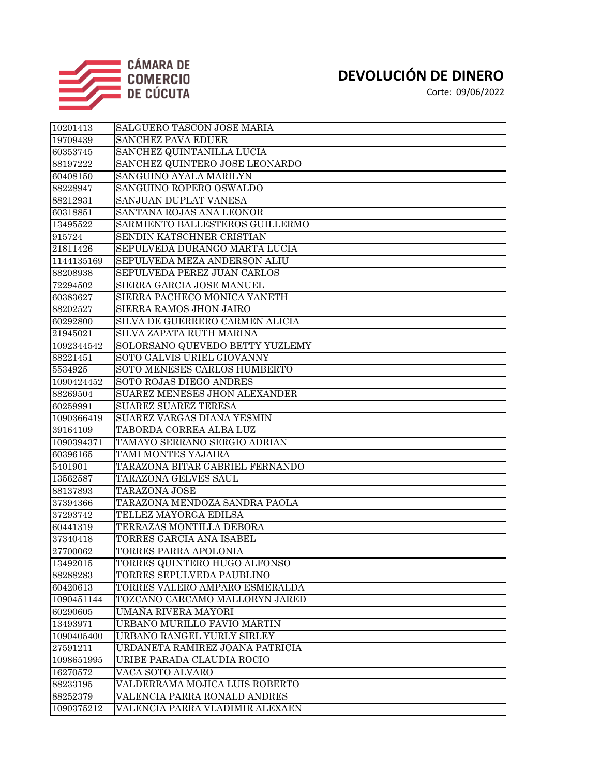

| 10201413   | SALGUERO TASCON JOSE MARIA           |
|------------|--------------------------------------|
| 19709439   | <b>SANCHEZ PAVA EDUER</b>            |
| 60353745   | SANCHEZ QUINTANILLA LUCIA            |
| 88197222   | SANCHEZ QUINTERO JOSE LEONARDO       |
| 60408150   | SANGUINO AYALA MARILYN               |
| 88228947   | SANGUINO ROPERO OSWALDO              |
| 88212931   | SANJUAN DUPLAT VANESA                |
| 60318851   | SANTANA ROJAS ANA LEONOR             |
| 13495522   | SARMIENTO BALLESTEROS GUILLERMO      |
| 915724     | SENDIN KATSCHNER CRISTIAN            |
| 21811426   | SEPULVEDA DURANGO MARTA LUCIA        |
| 1144135169 | SEPULVEDA MEZA ANDERSON ALIU         |
| 88208938   | SEPULVEDA PEREZ JUAN CARLOS          |
| 72294502   | SIERRA GARCIA JOSE MANUEL            |
| 60383627   | SIERRA PACHECO MONICA YANETH         |
| 88202527   | SIERRA RAMOS JHON JAIRO              |
| 60292800   | SILVA DE GUERRERO CARMEN ALICIA      |
| 21945021   | SILVA ZAPATA RUTH MARINA             |
| 1092344542 | SOLORSANO QUEVEDO BETTY YUZLEMY      |
| 88221451   | SOTO GALVIS URIEL GIOVANNY           |
| 5534925    | SOTO MENESES CARLOS HUMBERTO         |
| 1090424452 | SOTO ROJAS DIEGO ANDRES              |
| 88269504   | <b>SUAREZ MENESES JHON ALEXANDER</b> |
| 60259991   | <b>SUAREZ SUAREZ TERESA</b>          |
| 1090366419 | <b>SUAREZ VARGAS DIANA YESMIN</b>    |
| 39164109   | TABORDA CORREA ALBA LUZ              |
| 1090394371 | TAMAYO SERRANO SERGIO ADRIAN         |
| 60396165   | TAMI MONTES YAJAIRA                  |
| 5401901    | TARAZONA BITAR GABRIEL FERNANDO      |
| 13562587   | TARAZONA GELVES SAUL                 |
| 88137893   | TARAZONA JOSE                        |
| 37394366   | TARAZONA MENDOZA SANDRA PAOLA        |
| 37293742   | TELLEZ MAYORGA EDILSA                |
| 60441319   | TERRAZAS MONTILLA DEBORA             |
| 37340418   | TORRES GARCIA ANA ISABEL             |
| 27700062   | TORRES PARRA APOLONIA                |
| 13492015   | TORRES QUINTERO HUGO ALFONSO         |
| 88288283   | TORRES SEPULVEDA PAUBLINO            |
| 60420613   | TORRES VALERO AMPARO ESMERALDA       |
| 1090451144 | TOZCANO CARCAMO MALLORYN JARED       |
| 60290605   | UMAÑA RIVERA MAYORI                  |
| 13493971   | URBANO MURILLO FAVIO MARTIN          |
| 1090405400 | URBANO RANGEL YURLY SIRLEY           |
| 27591211   | URDANETA RAMIREZ JOANA PATRICIA      |
| 1098651995 | URIBE PARADA CLAUDIA ROCIO           |
| 16270572   | VACA SOTO ALVARO                     |
| 88233195   | VALDERRAMA MOJICA LUIS ROBERTO       |
| 88252379   | VALENCIA PARRA RONALD ANDRES         |
| 1090375212 | VALENCIA PARRA VLADIMIR ALEXAEN      |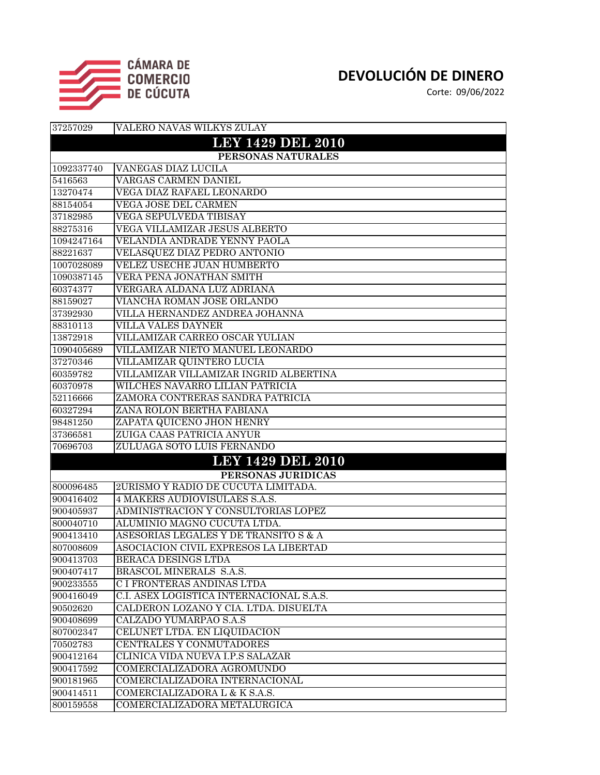

| 37257029           | VALERO NAVAS WILKYS ZULAY                |  |
|--------------------|------------------------------------------|--|
|                    | <b>LEY 1429 DEL 2010</b>                 |  |
| PERSONAS NATURALES |                                          |  |
| 1092337740         | <b>VANEGAS DIAZ LUCILA</b>               |  |
| 5416563            | <b>VARGAS CARMEN DANIEL</b>              |  |
| 13270474           | VEGA DIAZ RAFAEL LEONARDO                |  |
| 88154054           | VEGA JOSE DEL CARMEN                     |  |
| 37182985           | <b>VEGA SEPULVEDA TIBISAY</b>            |  |
| 88275316           | VEGA VILLAMIZAR JESUS ALBERTO            |  |
| 1094247164         | VELANDIA ANDRADE YENNY PAOLA             |  |
| 88221637           | VELASQUEZ DIAZ PEDRO ANTONIO             |  |
| 1007028089         | <b>VELEZ USECHE JUAN HUMBERTO</b>        |  |
| 1090387145         | VERA PEÑA JONATHAN SMITH                 |  |
| 60374377           | VERGARA ALDANA LUZ ADRIANA               |  |
| 88159027           | VIANCHA ROMAN JOSE ORLANDO               |  |
| 37392930           | VILLA HERNANDEZ ANDREA JOHANNA           |  |
| 88310113           | <b>VILLA VALES DAYNER</b>                |  |
| 13872918           | VILLAMIZAR CARREO OSCAR YULIAN           |  |
| 1090405689         | VILLAMIZAR NIETO MANUEL LEONARDO         |  |
| 37270346           | VILLAMIZAR QUINTERO LUCIA                |  |
| 60359782           | VILLAMIZAR VILLAMIZAR INGRID ALBERTINA   |  |
| 60370978           | WILCHES NAVARRO LILIAN PATRICIA          |  |
| 52116666           | ZAMORA CONTRERAS SANDRA PATRICIA         |  |
| 60327294           | ZANA ROLON BERTHA FABIANA                |  |
| 98481250           | ZAPATA QUICENO JHON HENRY                |  |
| 37366581           | ZUIGA CAAS PATRICIA ANYUR                |  |
| 70696703           | ZULUAGA SOTO LUIS FERNANDO               |  |
|                    | <b>LEY 1429 DEL 2010</b>                 |  |
|                    | PERSONAS JURIDICAS                       |  |
| 800096485          | 2URISMO Y RADIO DE CUCUTA LIMITADA.      |  |
| 900416402          | 4 MAKERS AUDIOVISULAES S.A.S.            |  |
| 900405937          | ADMINISTRACION Y CONSULTORIAS LOPEZ      |  |
| 800040710          | ALUMINIO MAGNO CUCUTA LTDA.              |  |
| 900413410          | ASESORIAS LEGALES Y DE TRANSITO S & A    |  |
| 807008609          | ASOCIACION CIVIL EXPRESOS LA LIBERTAD    |  |
| 900413703          | BERACA DESINGS LTDA                      |  |
| 900407417          | BRASCOL MINERALS S.A.S.                  |  |
| 900233555          | C I FRONTERAS ANDINAS LTDA               |  |
| 900416049          | C.I. ASEX LOGISTICA INTERNACIONAL S.A.S. |  |
| 90502620           | CALDERON LOZANO Y CIA. LTDA. DISUELTA    |  |
| 900408699          | CALZADO YUMARPAO S.A.S                   |  |
| 807002347          | CELUNET LTDA. EN LIQUIDACION             |  |
| 70502783           | CENTRALES Y CONMUTADORES                 |  |
| 900412164          | CLINICA VIDA NUEVA I.P.S SALAZAR         |  |
| 900417592          | COMERCIALIZADORA AGROMUNDO               |  |
| 900181965          | COMERCIALIZADORA INTERNACIONAL           |  |
| 900414511          | COMERCIALIZADORA L & K S.A.S.            |  |
| 800159558          | COMERCIALIZADORA METALURGICA             |  |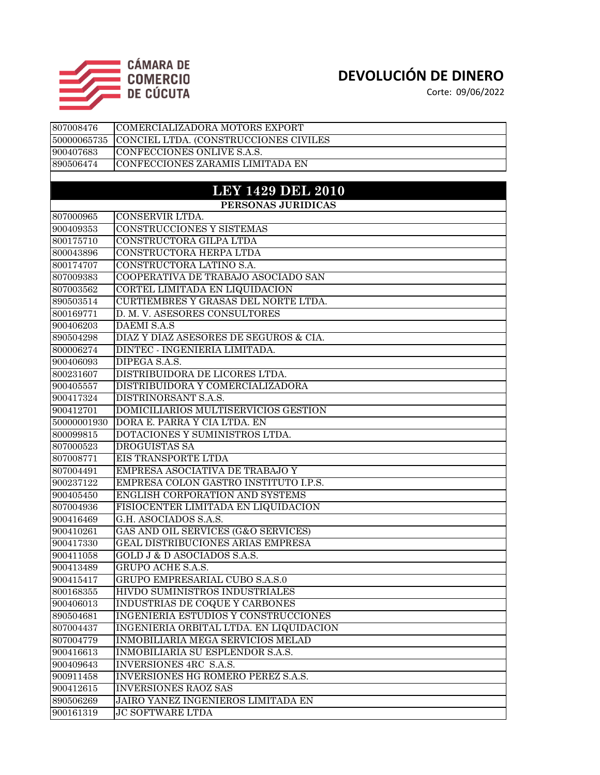

Corte: 09/06/2022

| 807008476   | COMERCIALIZADORA MOTORS EXPORT              |
|-------------|---------------------------------------------|
| 50000065735 | CONCIEL LTDA. (CONSTRUCCIONES CIVILES       |
| 900407683   | CONFECCIONES ONLIVE S.A.S.                  |
| 890506474   | CONFECCIONES ZARAMIS LIMITADA EN            |
|             |                                             |
|             | <b>LEY 1429 DEL 2010</b>                    |
|             | PERSONAS JURIDICAS                          |
| 807000965   | CONSERVIR LTDA.                             |
| 900409353   | CONSTRUCCIONES Y SISTEMAS                   |
| 800175710   | CONSTRUCTORA GILPA LTDA                     |
| 800043896   | CONSTRUCTORA HERPA LTDA                     |
| 800174707   | CONSTRUCTORA LATINO S.A.                    |
| 807009383   | COOPERATIVA DE TRABAJO ASOCIADO SAN         |
| 807003562   | CORTEL LIMITADA EN LIQUIDACION              |
| 890503514   | CURTIEMBRES Y GRASAS DEL NORTE LTDA.        |
| 800169771   | D. M. V. ASESORES CONSULTORES               |
| 900406203   | <b>DAEMI S.A.S</b>                          |
| 890504298   | DIAZ Y DIAZ ASESORES DE SEGUROS & CIA.      |
| 800006274   | DINTEC - INGENIERIA LIMITADA.               |
| 900406093   | DIPEGA S.A.S.                               |
| 800231607   | DISTRIBUIDORA DE LICORES LTDA.              |
| 900405557   | DISTRIBUIDORA Y COMERCIALIZADORA            |
| 900417324   | DISTRINORSANT S.A.S.                        |
| 900412701   | DOMICILIARIOS MULTISERVICIOS GESTION        |
| 50000001930 | DORA E. PARRA Y CIA LTDA. EN                |
| 800099815   | DOTACIONES Y SUMINISTROS LTDA.              |
| 807000523   | <b>DROGUISTAS SA</b>                        |
| 807008771   | EIS TRANSPORTE LTDA                         |
| 807004491   | EMPRESA ASOCIATIVA DE TRABAJO Y             |
| 900237122   | EMPRESA COLON GASTRO INSTITUTO I.P.S.       |
| 900405450   | ENGLISH CORPORATION AND SYSTEMS             |
| 807004936   | FISIOCENTER LIMITADA EN LIQUIDACION         |
| 900416469   | G.H. ASOCIADOS S.A.S.                       |
| 900410261   | GAS AND OIL SERVICES (G&O SERVICES)         |
| 900417330   | <b>GEAL DISTRIBUCIONES ARIAS EMPRESA</b>    |
| 900411058   | GOLD J & D ASOCIADOS S.A.S.                 |
| 900413489   | GRUPO ACHE S.A.S.                           |
| 900415417   | GRUPO EMPRESARIAL CUBO S.A.S.0              |
| 800168355   | HIVDO SUMINISTROS INDUSTRIALES              |
| 900406013   | INDUSTRIAS DE COQUE Y CARBONES              |
| 890504681   | <b>INGENIERIA ESTUDIOS Y CONSTRUCCIONES</b> |
| 807004437   | INGENIERIA ORBITAL LTDA. EN LIQUIDACION     |
| 807004779   | INMOBILIARIA MEGA SERVICIOS MELAD           |
| 900416613   | INMOBILIARIA SU ESPLENDOR S.A.S.            |
| 900409643   | <b>INVERSIONES 4RC S.A.S.</b>               |
| 900911458   | INVERSIONES HG ROMERO PEREZ S.A.S.          |
| 900412615   | <b>INVERSIONES RAOZ SAS</b>                 |
| 890506269   | JAIRO YANEZ INGENIEROS LIMITADA EN          |
| 900161319   | <b>JC SOFTWARE LTDA</b>                     |